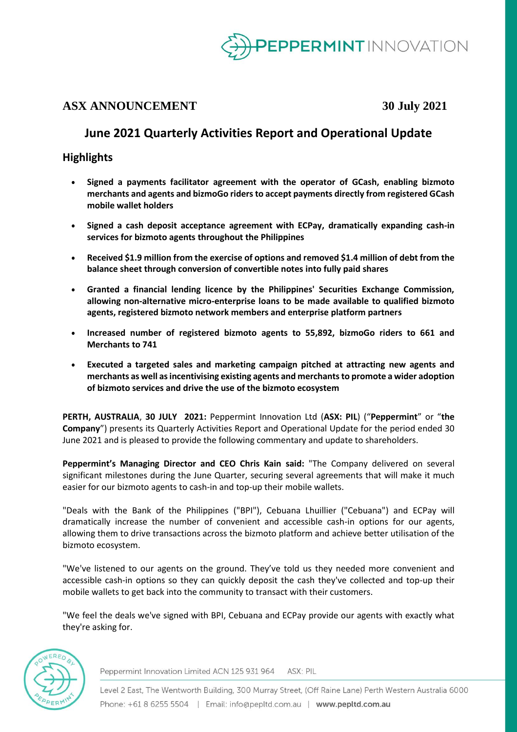

# **ASX ANNOUNCEMENT 30 July 2021**

# **June 2021 Quarterly Activities Report and Operational Update**

# **Highlights**

- **Signed a payments facilitator agreement with the operator of GCash, enabling bizmoto merchants and agents and bizmoGo riders to accept payments directly from registered GCash mobile wallet holders**
- **Signed a cash deposit acceptance agreement with ECPay, dramatically expanding cash-in services for bizmoto agents throughout the Philippines**
- **Received \$1.9 million from the exercise of options and removed \$1.4 million of debt from the balance sheet through conversion of convertible notes into fully paid shares**
- **Granted a financial lending licence by the Philippines' Securities Exchange Commission, allowing non-alternative micro-enterprise loans to be made available to qualified bizmoto agents, registered bizmoto network members and enterprise platform partners**
- **Increased number of registered bizmoto agents to 55,892, bizmoGo riders to 661 and Merchants to 741**
- **Executed a targeted sales and marketing campaign pitched at attracting new agents and merchants as well as incentivising existing agents and merchants to promote a wider adoption of bizmoto services and drive the use of the bizmoto ecosystem**

**PERTH, AUSTRALIA**, **30 JULY 2021:** Peppermint Innovation Ltd (**ASX: PIL**) ("**Peppermint**" or "**the Company**") presents its Quarterly Activities Report and Operational Update for the period ended 30 June 2021 and is pleased to provide the following commentary and update to shareholders.

**Peppermint's Managing Director and CEO Chris Kain said:** "The Company delivered on several significant milestones during the June Quarter, securing several agreements that will make it much easier for our bizmoto agents to cash-in and top-up their mobile wallets.

"Deals with the Bank of the Philippines ("BPI"), Cebuana Lhuillier ("Cebuana") and ECPay will dramatically increase the number of convenient and accessible cash-in options for our agents, allowing them to drive transactions across the bizmoto platform and achieve better utilisation of the bizmoto ecosystem.

"We've listened to our agents on the ground. They've told us they needed more convenient and accessible cash-in options so they can quickly deposit the cash they've collected and top-up their mobile wallets to get back into the community to transact with their customers.

"We feel the deals we've signed with BPI, Cebuana and ECPay provide our agents with exactly what they're asking for.



Peppermint Innovation Limited ACN 125 931 964 ASX: PIL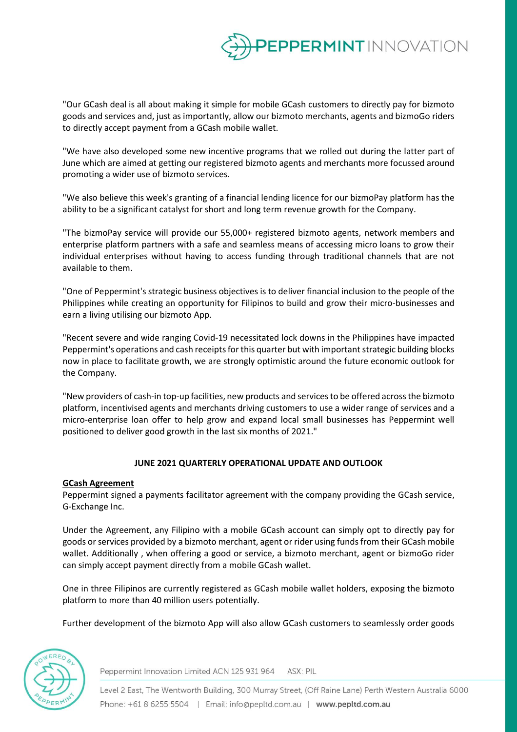

"Our GCash deal is all about making it simple for mobile GCash customers to directly pay for bizmoto goods and services and, just as importantly, allow our bizmoto merchants, agents and bizmoGo riders to directly accept payment from a GCash mobile wallet.

"We have also developed some new incentive programs that we rolled out during the latter part of June which are aimed at getting our registered bizmoto agents and merchants more focussed around promoting a wider use of bizmoto services.

"We also believe this week's granting of a financial lending licence for our bizmoPay platform has the ability to be a significant catalyst for short and long term revenue growth for the Company.

"The bizmoPay service will provide our 55,000+ registered bizmoto agents, network members and enterprise platform partners with a safe and seamless means of accessing micro loans to grow their individual enterprises without having to access funding through traditional channels that are not available to them.

"One of Peppermint's strategic business objectives is to deliver financial inclusion to the people of the Philippines while creating an opportunity for Filipinos to build and grow their micro-businesses and earn a living utilising our bizmoto App.

"Recent severe and wide ranging Covid-19 necessitated lock downs in the Philippines have impacted Peppermint's operations and cash receipts for this quarter but with important strategic building blocks now in place to facilitate growth, we are strongly optimistic around the future economic outlook for the Company.

"New providers of cash-in top-up facilities, new products and services to be offered across the bizmoto platform, incentivised agents and merchants driving customers to use a wider range of services and a micro-enterprise loan offer to help grow and expand local small businesses has Peppermint well positioned to deliver good growth in the last six months of 2021."

# **JUNE 2021 QUARTERLY OPERATIONAL UPDATE AND OUTLOOK**

### **GCash Agreement**

Peppermint signed a payments facilitator agreement with the company providing the GCash service, G-Exchange Inc.

Under the Agreement, any Filipino with a mobile GCash account can simply opt to directly pay for goods or services provided by a bizmoto merchant, agent or rider using funds from their GCash mobile wallet. Additionally , when offering a good or service, a bizmoto merchant, agent or bizmoGo rider can simply accept payment directly from a mobile GCash wallet.

One in three Filipinos are currently registered as GCash mobile wallet holders, exposing the bizmoto platform to more than 40 million users potentially.

Further development of the bizmoto App will also allow GCash customers to seamlessly order goods



Peppermint Innovation Limited ACN 125 931 964 ASX: PIL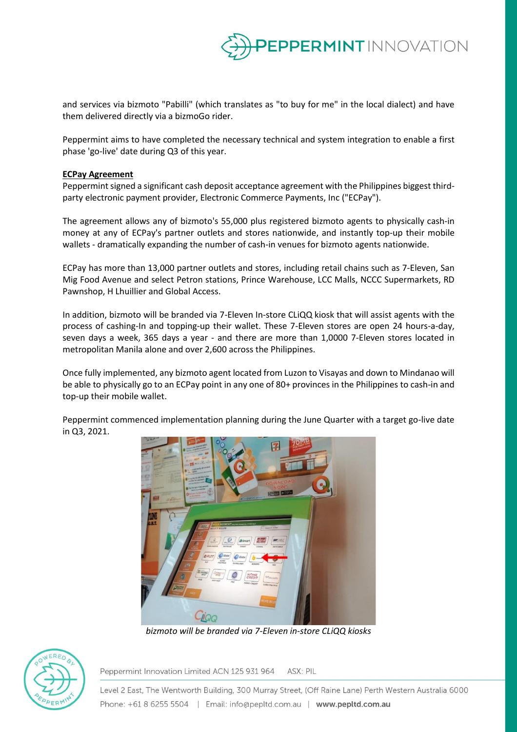

and services via bizmoto "Pabilli" (which translates as "to buy for me" in the local dialect) and have them delivered directly via a bizmoGo rider.

Peppermint aims to have completed the necessary technical and system integration to enable a first phase 'go-live' date during Q3 of this year.

#### **ECPay Agreement**

Peppermint signed a significant cash deposit acceptance agreement with the Philippines biggest thirdparty electronic payment provider, Electronic Commerce Payments, Inc ("ECPay").

The agreement allows any of bizmoto's 55,000 plus registered bizmoto agents to physically cash-in money at any of ECPay's partner outlets and stores nationwide, and instantly top-up their mobile wallets - dramatically expanding the number of cash-in venues for bizmoto agents nationwide.

ECPay has more than 13,000 partner outlets and stores, including retail chains such as 7-Eleven, San Mig Food Avenue and select Petron stations, Prince Warehouse, LCC Malls, NCCC Supermarkets, RD Pawnshop, H Lhuillier and Global Access.

In addition, bizmoto will be branded via 7-Eleven In-store CLiQQ kiosk that will assist agents with the process of cashing-In and topping-up their wallet. These 7-Eleven stores are open 24 hours-a-day, seven days a week, 365 days a year - and there are more than 1,0000 7-Eleven stores located in metropolitan Manila alone and over 2,600 across the Philippines.

Once fully implemented, any bizmoto agent located from Luzon to Visayas and down to Mindanao will be able to physically go to an ECPay point in any one of 80+ provinces in the Philippines to cash-in and top-up their mobile wallet.

Peppermint commenced implementation planning during the June Quarter with a target go-live date in Q3, 2021.



*bizmoto will be branded via 7-Eleven in-store CLiQQ kiosks*



Peppermint Innovation Limited ACN 125 931 964 ASX: PIL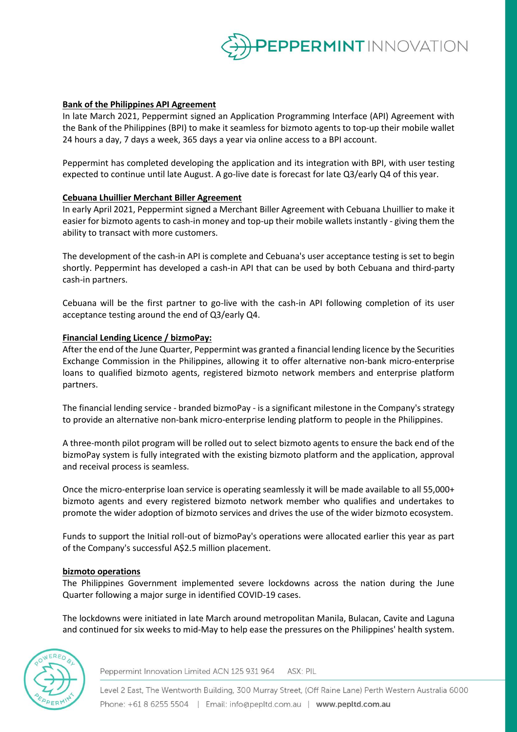

## **Bank of the Philippines API Agreement**

In late March 2021, Peppermint signed an Application Programming Interface (API) Agreement with the Bank of the Philippines (BPI) to make it seamless for bizmoto agents to top-up their mobile wallet 24 hours a day, 7 days a week, 365 days a year via online access to a BPI account.

Peppermint has completed developing the application and its integration with BPI, with user testing expected to continue until late August. A go-live date is forecast for late Q3/early Q4 of this year.

### **Cebuana Lhuillier Merchant Biller Agreement**

In early April 2021, Peppermint signed a Merchant Biller Agreement with Cebuana Lhuillier to make it easier for bizmoto agents to cash-in money and top-up their mobile wallets instantly - giving them the ability to transact with more customers.

The development of the cash-in API is complete and Cebuana's user acceptance testing is set to begin shortly. Peppermint has developed a cash-in API that can be used by both Cebuana and third-party cash-in partners.

Cebuana will be the first partner to go-live with the cash-in API following completion of its user acceptance testing around the end of Q3/early Q4.

### **Financial Lending Licence / bizmoPay:**

After the end of the June Quarter, Peppermint was granted a financial lending licence by the Securities Exchange Commission in the Philippines, allowing it to offer alternative non-bank micro-enterprise loans to qualified bizmoto agents, registered bizmoto network members and enterprise platform partners.

The financial lending service - branded bizmoPay - is a significant milestone in the Company's strategy to provide an alternative non-bank micro-enterprise lending platform to people in the Philippines.

A three-month pilot program will be rolled out to select bizmoto agents to ensure the back end of the bizmoPay system is fully integrated with the existing bizmoto platform and the application, approval and receival process is seamless.

Once the micro-enterprise loan service is operating seamlessly it will be made available to all 55,000+ bizmoto agents and every registered bizmoto network member who qualifies and undertakes to promote the wider adoption of bizmoto services and drives the use of the wider bizmoto ecosystem.

Funds to support the Initial roll-out of bizmoPay's operations were allocated earlier this year as part of the Company's successful A\$2.5 million placement.

### **bizmoto operations**

The Philippines Government implemented severe lockdowns across the nation during the June Quarter following a major surge in identified COVID-19 cases.

The lockdowns were initiated in late March around metropolitan Manila, Bulacan, Cavite and Laguna and continued for six weeks to mid-May to help ease the pressures on the Philippines' health system.



Peppermint Innovation Limited ACN 125 931 964 ASX: PIL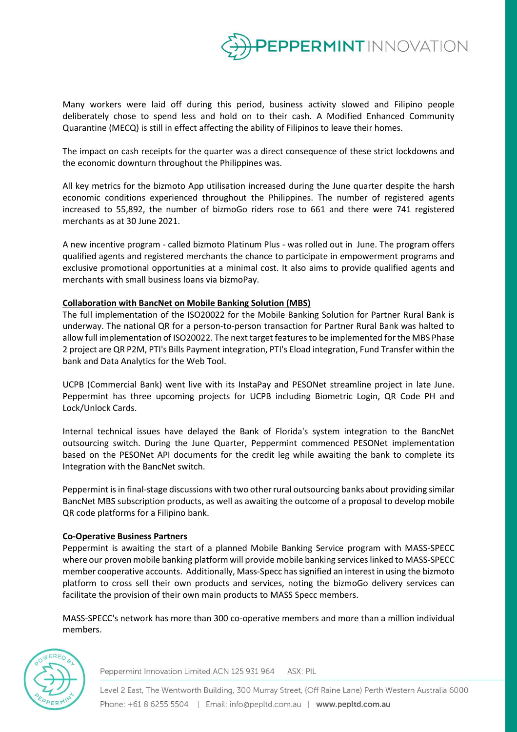

Many workers were laid off during this period, business activity slowed and Filipino people deliberately chose to spend less and hold on to their cash. A Modified Enhanced Community Quarantine (MECQ) is still in effect affecting the ability of Filipinos to leave their homes.

The impact on cash receipts for the quarter was a direct consequence of these strict lockdowns and the economic downturn throughout the Philippines was.

All key metrics for the bizmoto App utilisation increased during the June quarter despite the harsh economic conditions experienced throughout the Philippines. The number of registered agents increased to 55,892, the number of bizmoGo riders rose to 661 and there were 741 registered merchants as at 30 June 2021.

A new incentive program - called bizmoto Platinum Plus - was rolled out in June. The program offers qualified agents and registered merchants the chance to participate in empowerment programs and exclusive promotional opportunities at a minimal cost. It also aims to provide qualified agents and merchants with small business loans via bizmoPay.

### **Collaboration with BancNet on Mobile Banking Solution (MBS)**

The full implementation of the ISO20022 for the Mobile Banking Solution for Partner Rural Bank is underway. The national QR for a person-to-person transaction for Partner Rural Bank was halted to allow full implementation of ISO20022. The next target features to be implemented for the MBS Phase 2 project are QR P2M, PTI's Bills Payment integration, PTI's Eload integration, Fund Transfer within the bank and Data Analytics for the Web Tool.

UCPB (Commercial Bank) went live with its InstaPay and PESONet streamline project in late June. Peppermint has three upcoming projects for UCPB including Biometric Login, QR Code PH and Lock/Unlock Cards.

Internal technical issues have delayed the Bank of Florida's system integration to the BancNet outsourcing switch. During the June Quarter, Peppermint commenced PESONet implementation based on the PESONet API documents for the credit leg while awaiting the bank to complete its Integration with the BancNet switch.

Peppermint is in final-stage discussions with two other rural outsourcing banks about providing similar BancNet MBS subscription products, as well as awaiting the outcome of a proposal to develop mobile QR code platforms for a Filipino bank.

### **Co-Operative Business Partners**

Peppermint is awaiting the start of a planned Mobile Banking Service program with MASS-SPECC where our proven mobile banking platform will provide mobile banking serviceslinked to MASS-SPECC member cooperative accounts. Additionally, Mass-Specc has signified an interest in using the bizmoto platform to cross sell their own products and services, noting the bizmoGo delivery services can facilitate the provision of their own main products to MASS Specc members.

MASS-SPECC's network has more than 300 co-operative members and more than a million individual members.



Peppermint Innovation Limited ACN 125 931 964 ASX: PIL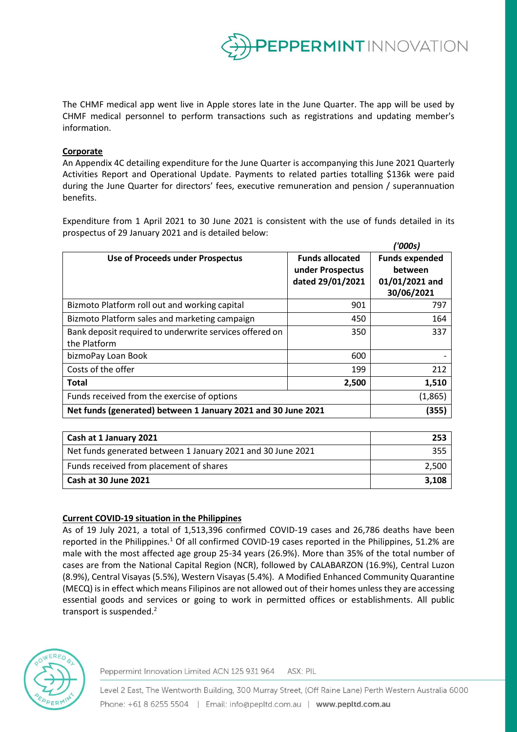

*('000s)*

The CHMF medical app went live in Apple stores late in the June Quarter. The app will be used by CHMF medical personnel to perform transactions such as registrations and updating member's information.

## **Corporate**

An Appendix 4C detailing expenditure for the June Quarter is accompanying this June 2021 Quarterly Activities Report and Operational Update. Payments to related parties totalling \$136k were paid during the June Quarter for directors' fees, executive remuneration and pension / superannuation benefits.

Expenditure from 1 April 2021 to 30 June 2021 is consistent with the use of funds detailed in its prospectus of 29 January 2021 and is detailed below:

|                                                                         |                                                                | <b>UUUSI</b>                                                     |
|-------------------------------------------------------------------------|----------------------------------------------------------------|------------------------------------------------------------------|
| Use of Proceeds under Prospectus                                        | <b>Funds allocated</b><br>under Prospectus<br>dated 29/01/2021 | <b>Funds expended</b><br>between<br>01/01/2021 and<br>30/06/2021 |
| Bizmoto Platform roll out and working capital                           | 901                                                            | 797                                                              |
| Bizmoto Platform sales and marketing campaign                           | 450                                                            | 164                                                              |
| Bank deposit required to underwrite services offered on<br>the Platform | 350                                                            | 337                                                              |
| bizmoPay Loan Book                                                      | 600                                                            |                                                                  |
| Costs of the offer                                                      | 199                                                            | 212                                                              |
| <b>Total</b>                                                            | 2,500                                                          | 1,510                                                            |
| Funds received from the exercise of options                             |                                                                | (1,865)                                                          |
| Net funds (generated) between 1 January 2021 and 30 June 2021           |                                                                | (355)                                                            |

| Cash at 1 January 2021                                      | 253   |
|-------------------------------------------------------------|-------|
| Net funds generated between 1 January 2021 and 30 June 2021 | 355   |
| Funds received from placement of shares                     | 2.500 |
| Cash at 30 June 2021                                        | 3.108 |

### **Current COVID-19 situation in the Philippines**

As of 19 July 2021, a total of 1,513,396 confirmed COVID-19 cases and 26,786 deaths have been reported in the Philippines.<sup>1</sup> Of all confirmed COVID-19 cases reported in the Philippines, 51.2% are male with the most affected age group 25-34 years (26.9%). More than 35% of the total number of cases are from the National Capital Region (NCR), followed by CALABARZON (16.9%), Central Luzon (8.9%), Central Visayas (5.5%), Western Visayas (5.4%). A Modified Enhanced Community Quarantine (MECQ) is in effect which means Filipinos are not allowed out of their homes unless they are accessing essential goods and services or going to work in permitted offices or establishments. All public transport is suspended.<sup>2</sup>



Peppermint Innovation Limited ACN 125 931 964 ASX: PIL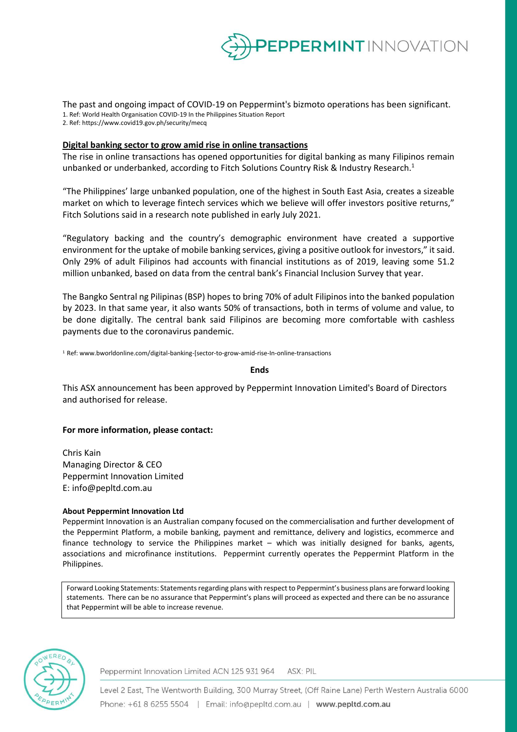

The past and ongoing impact of COVID-19 on Peppermint's bizmoto operations has been significant. 1. Ref: World Health Organisation COVID-19 In the Philippines Situation Report 2. Ref: https://www.covid19.gov.ph/security/mecq

#### **Digital banking sector to grow amid rise in online transactions**

The rise in online transactions has opened opportunities for digital banking as many Filipinos remain unbanked or underbanked, according to Fitch Solutions Country Risk & Industry Research.<sup>1</sup>

"The Philippines' large unbanked population, one of the highest in South East Asia, creates a sizeable market on which to leverage fintech services which we believe will offer investors positive returns," Fitch Solutions said in a research note published in early July 2021.

"Regulatory backing and the country's demographic environment have created a supportive environment for the uptake of mobile banking services, giving a positive outlook for investors," it said. Only 29% of adult Filipinos had accounts with financial institutions as of 2019, leaving some 51.2 million unbanked, based on data from the central bank's Financial Inclusion Survey that year.

The Bangko Sentral ng Pilipinas (BSP) hopes to bring 70% of adult Filipinos into the banked population by 2023. In that same year, it also wants 50% of transactions, both in terms of volume and value, to be done digitally. The central bank said Filipinos are becoming more comfortable with cashless payments due to the coronavirus pandemic.

<sup>1</sup>Ref: www.bworldonline.com/digital-banking-[sector-to-grow-amid-rise-In-online-transactions

#### **Ends**

This ASX announcement has been approved by Peppermint Innovation Limited's Board of Directors and authorised for release.

#### **For more information, please contact:**

Chris Kain Managing Director & CEO Peppermint Innovation Limited E: info@pepltd.com.au

#### **About Peppermint Innovation Ltd**

Peppermint Innovation is an Australian company focused on the commercialisation and further development of the Peppermint Platform, a mobile banking, payment and remittance, delivery and logistics, ecommerce and finance technology to service the Philippines market – which was initially designed for banks, agents, associations and microfinance institutions. Peppermint currently operates the Peppermint Platform in the Philippines.

Forward Looking Statements: Statements regarding plans with respect to Peppermint's business plans are forward looking statements. There can be no assurance that Peppermint's plans will proceed as expected and there can be no assurance that Peppermint will be able to increase revenue.



Peppermint Innovation Limited ACN 125 931 964 ASX: PIL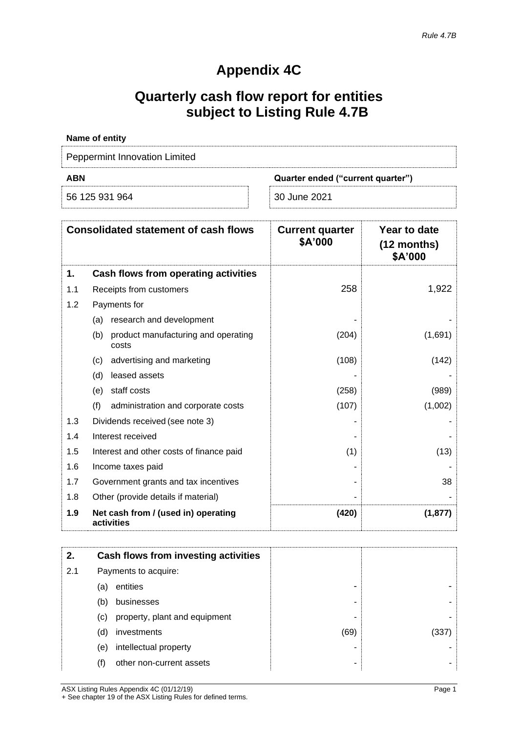# **Appendix 4C**

# **Quarterly cash flow report for entities subject to Listing Rule 4.7B**

| Name of entity                |                                   |
|-------------------------------|-----------------------------------|
| Peppermint Innovation Limited |                                   |
| <b>ABN</b>                    | Quarter ended ("current quarter") |
| 56 125 931 964                | 30 June 2021                      |

|     | <b>Consolidated statement of cash flows</b>         | <b>Current quarter</b><br>\$A'000 | Year to date<br>$(12$ months)<br>\$A'000 |
|-----|-----------------------------------------------------|-----------------------------------|------------------------------------------|
| 1.  | Cash flows from operating activities                |                                   |                                          |
| 1.1 | Receipts from customers                             | 258                               | 1,922                                    |
| 1.2 | Payments for                                        |                                   |                                          |
|     | research and development<br>(a)                     |                                   |                                          |
|     | product manufacturing and operating<br>(b)<br>costs | (204)                             | (1,691)                                  |
|     | advertising and marketing<br>(c)                    | (108)                             | (142)                                    |
|     | leased assets<br>(d)                                |                                   |                                          |
|     | staff costs<br>(e)                                  | (258)                             | (989)                                    |
|     | (f)<br>administration and corporate costs           | (107)                             | (1,002)                                  |
| 1.3 | Dividends received (see note 3)                     |                                   |                                          |
| 1.4 | Interest received                                   |                                   |                                          |
| 1.5 | Interest and other costs of finance paid            | (1)                               | (13)                                     |
| 1.6 | Income taxes paid                                   |                                   |                                          |
| 1.7 | Government grants and tax incentives                |                                   | 38                                       |
| 1.8 | Other (provide details if material)                 |                                   |                                          |
| 1.9 | Net cash from / (used in) operating<br>activities   | (420)                             | (1, 877)                                 |

| 2.  |     | Cash flows from investing activities |      |       |
|-----|-----|--------------------------------------|------|-------|
| 2.1 |     | Payments to acquire:                 |      |       |
|     | (a) | entities                             |      |       |
|     | (b) | businesses                           |      |       |
|     | (c) | property, plant and equipment        |      |       |
|     | (d) | investments                          | (69) | (337) |
|     | (e) | intellectual property                |      |       |
|     | (f) | other non-current assets             |      |       |

ASX Listing Rules Appendix 4C (01/12/19) Page 1 + See chapter 19 of the ASX Listing Rules for defined terms.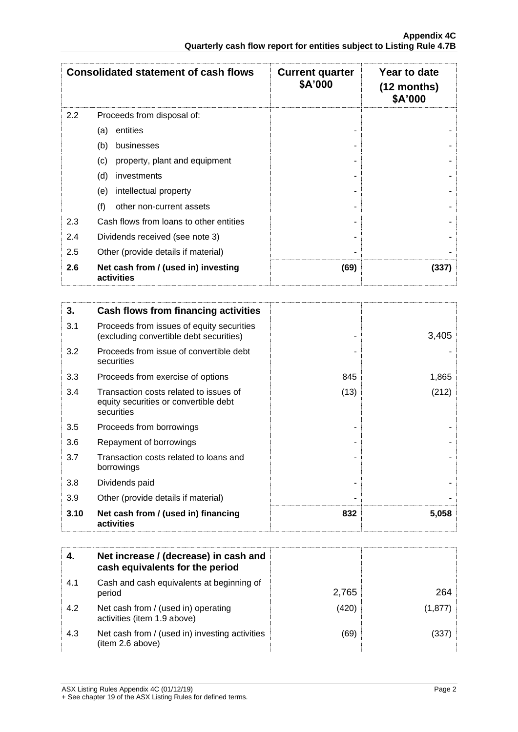|     | <b>Consolidated statement of cash flows</b>       | <b>Current quarter</b><br>\$A'000 | Year to date<br>$(12$ months)<br>\$A'000 |
|-----|---------------------------------------------------|-----------------------------------|------------------------------------------|
| 2.2 | Proceeds from disposal of:                        |                                   |                                          |
|     | entities<br>(a)                                   |                                   |                                          |
|     | (b)<br>businesses                                 |                                   |                                          |
|     | (c)<br>property, plant and equipment              |                                   |                                          |
|     | (d)<br>investments                                |                                   |                                          |
|     | intellectual property<br>(e)                      |                                   |                                          |
|     | (f)<br>other non-current assets                   |                                   |                                          |
| 2.3 | Cash flows from loans to other entities           |                                   |                                          |
| 2.4 | Dividends received (see note 3)                   |                                   |                                          |
| 2.5 | Other (provide details if material)               |                                   |                                          |
| 2.6 | Net cash from / (used in) investing<br>activities | (69)                              | (337)                                    |

| 3.   | Cash flows from financing activities                                                          |      |       |
|------|-----------------------------------------------------------------------------------------------|------|-------|
| 3.1  | Proceeds from issues of equity securities<br>(excluding convertible debt securities)          |      | 3,405 |
| 3.2  | Proceeds from issue of convertible debt<br>securities                                         |      |       |
| 3.3  | Proceeds from exercise of options                                                             | 845  | 1,865 |
| 3.4  | Transaction costs related to issues of<br>equity securities or convertible debt<br>securities | (13) | (212) |
| 3.5  | Proceeds from borrowings                                                                      |      |       |
| 3.6  | Repayment of borrowings                                                                       |      |       |
| 3.7  | Transaction costs related to loans and<br>borrowings                                          |      |       |
| 3.8  | Dividends paid                                                                                |      |       |
| 3.9  | Other (provide details if material)                                                           |      |       |
| 3.10 | Net cash from / (used in) financing<br>activities                                             | 832  | 5,058 |

|     | Net increase / (decrease) in cash and<br>cash equivalents for the period |       |         |
|-----|--------------------------------------------------------------------------|-------|---------|
| 4.1 | Cash and cash equivalents at beginning of<br>period                      | 2,765 | 264     |
| 4.2 | Net cash from / (used in) operating<br>activities (item 1.9 above)       | (420) | (1,877) |
| 4.3 | Net cash from / (used in) investing activities<br>(item 2.6 above)       | (69)  | (337)   |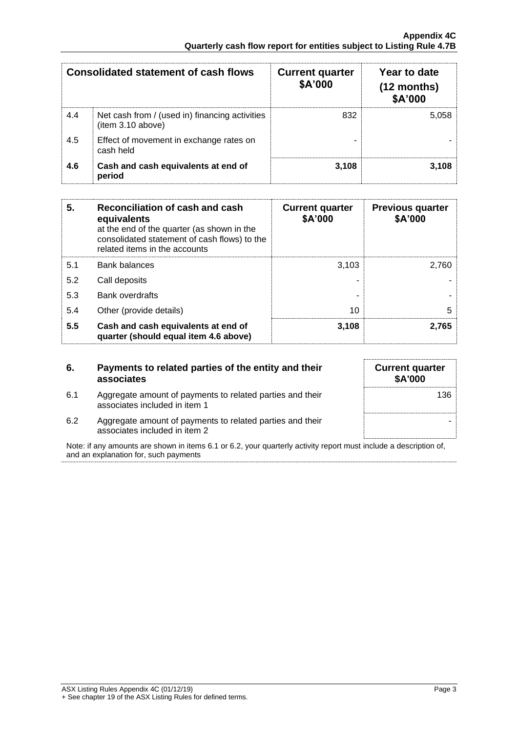|     | <b>Consolidated statement of cash flows</b>                        | <b>Current quarter</b><br>\$A'000 | Year to date<br>$(12$ months)<br>\$A'000 |
|-----|--------------------------------------------------------------------|-----------------------------------|------------------------------------------|
| 4.4 | Net cash from / (used in) financing activities<br>item 3.10 above) | 832                               | 5,058                                    |
| 4.5 | Effect of movement in exchange rates on<br>cash held               |                                   |                                          |
| 4.6 | Cash and cash equivalents at end of<br>period                      | 3.108                             | 3.108                                    |

| 5.  | Reconciliation of cash and cash<br>equivalents<br>at the end of the quarter (as shown in the<br>consolidated statement of cash flows) to the<br>related items in the accounts | <b>Current quarter</b><br>\$A'000 | <b>Previous quarter</b><br>\$A'000 |
|-----|-------------------------------------------------------------------------------------------------------------------------------------------------------------------------------|-----------------------------------|------------------------------------|
| 5.1 | <b>Bank balances</b>                                                                                                                                                          | 3.103                             | 2.760                              |
| 5.2 | Call deposits                                                                                                                                                                 |                                   |                                    |
| 5.3 | <b>Bank overdrafts</b>                                                                                                                                                        |                                   |                                    |
| 5.4 | Other (provide details)                                                                                                                                                       | 10                                | 5                                  |
| 5.5 | Cash and cash equivalents at end of<br>quarter (should equal item 4.6 above)                                                                                                  | 3,108                             | 2,765                              |

| 6.  | Payments to related parties of the entity and their<br>associates                          |
|-----|--------------------------------------------------------------------------------------------|
| 6.1 | Aggregate amount of payments to related parties and their<br>associates included in item 1 |

| 136 | <b>Current quarter</b><br>\$A'000 |
|-----|-----------------------------------|
|     |                                   |
|     |                                   |
|     |                                   |

6.2 Aggregate amount of payments to related parties and their associates included in item 2

Note: if any amounts are shown in items 6.1 or 6.2, your quarterly activity report must include a description of, and an explanation for, such payments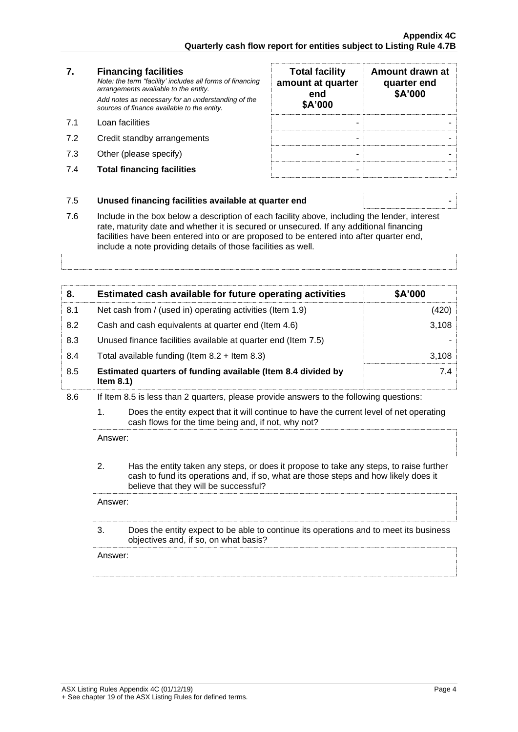#### **7. Financing facilities** *Note: the term "facility' includes all forms of financing*

*arrangements available to the entity. Add notes as necessary for an understanding of the sources of finance available to the entity.*

- 7.1 Loan facilities
- 7.2 Credit standby arrangements
- 7.3 Other (please specify)
- **7.4 Total financing facilities**

| <b>Total facility</b><br>amount at quarter<br>end<br>\$A'000 | Amount drawn at<br>quarter end<br>\$A'000 |
|--------------------------------------------------------------|-------------------------------------------|
|                                                              |                                           |
|                                                              |                                           |
|                                                              |                                           |
|                                                              |                                           |

## 7.5 **Unused financing facilities available at quarter end** -

7.6 Include in the box below a description of each facility above, including the lender, interest rate, maturity date and whether it is secured or unsecured. If any additional financing facilities have been entered into or are proposed to be entered into after quarter end,

include a note providing details of those facilities as well.

| 8.  | Estimated cash available for future operating activities                     | \$A'000 |
|-----|------------------------------------------------------------------------------|---------|
| 8.1 | Net cash from / (used in) operating activities (Item 1.9)                    | (420)   |
| 8.2 | Cash and cash equivalents at quarter end (Item 4.6)                          | 3,108   |
| 8.3 | Unused finance facilities available at quarter end (Item 7.5)                |         |
| 8.4 | Total available funding (Item $8.2 +$ Item $8.3$ )                           | 3,108   |
| 8.5 | Estimated quarters of funding available (Item 8.4 divided by<br>Item $8.1$ ) | 7.4     |

- 8.6 If Item 8.5 is less than 2 quarters, please provide answers to the following questions:
	- 1. Does the entity expect that it will continue to have the current level of net operating cash flows for the time being and, if not, why not?

Answer:

2. Has the entity taken any steps, or does it propose to take any steps, to raise further cash to fund its operations and, if so, what are those steps and how likely does it believe that they will be successful?

Answer:

3. Does the entity expect to be able to continue its operations and to meet its business objectives and, if so, on what basis?

Answer: